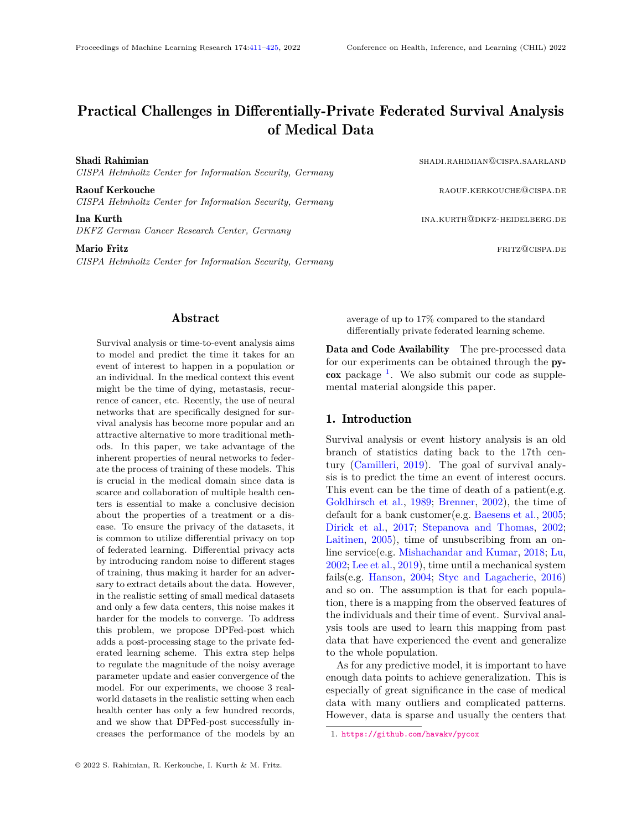# Practical Challenges in Differentially-Private Federated Survival Analysis of Medical Data

Shadi Rahimian shadi.rahimian@cispa.saarland *CISPA Helmholtz Center for Information Security, Germany*

Raouf Kerkouche radius and the random control of the random control and the random random random radius  $R$ *CISPA Helmholtz Center for Information Security, Germany*

**Ina Kurth ina.kurth ina.kurth ina Kurth** ina Kurth ina Kurth ina Kurth ina Kurth ina Kurth ina kurtha ina kurth *DKFZ German Cancer Research Center, Germany*

Mario Fritz **fritz and the experimental of the experimental of the experimental of the experimental of the experimental of the experimental of the experimental of the experimental of the experimental of the experimental** 

*CISPA Helmholtz Center for Information Security, Germany*

## Abstract

<span id="page-0-0"></span>Survival analysis or time-to-event analysis aims to model and predict the time it takes for an event of interest to happen in a population or an individual. In the medical context this event might be the time of dying, metastasis, recurrence of cancer, etc. Recently, the use of neural networks that are specifically designed for survival analysis has become more popular and an attractive alternative to more traditional methods. In this paper, we take advantage of the inherent properties of neural networks to federate the process of training of these models. This is crucial in the medical domain since data is scarce and collaboration of multiple health centers is essential to make a conclusive decision about the properties of a treatment or a disease. To ensure the privacy of the datasets, it is common to utilize differential privacy on top of federated learning. Differential privacy acts by introducing random noise to different stages of training, thus making it harder for an adversary to extract details about the data. However, in the realistic setting of small medical datasets and only a few data centers, this noise makes it harder for the models to converge. To address this problem, we propose DPFed-post which adds a post-processing stage to the private federated learning scheme. This extra step helps to regulate the magnitude of the noisy average parameter update and easier convergence of the model. For our experiments, we choose 3 realworld datasets in the realistic setting when each health center has only a few hundred records, and we show that DPFed-post successfully increases the performance of the models by an average of up to 17% compared to the standard differentially private federated learning scheme.

Data and Code Availability The pre-processed data for our experiments can be obtained through the py-cox package <sup>[1](#page-0-1)</sup>. We also submit our code as supplemental material alongside this paper.

#### 1. Introduction

Survival analysis or event history analysis is an old branch of statistics dating back to the 17th century [\(Camilleri,](#page-10-0) [2019\)](#page-10-0). The goal of survival analysis is to predict the time an event of interest occurs. This event can be the time of death of a patient(e.g. [Goldhirsch et al.,](#page-10-1) [1989;](#page-10-1) [Brenner,](#page-10-2) [2002\)](#page-10-2), the time of default for a bank customer(e.g. [Baesens et al.,](#page-10-3) [2005;](#page-10-3) [Dirick et al.,](#page-10-4) [2017;](#page-10-4) [Stepanova and Thomas,](#page-12-0) [2002;](#page-12-0) [Laitinen,](#page-11-0) [2005\)](#page-11-0), time of unsubscribing from an online service(e.g. [Mishachandar and Kumar,](#page-12-1) [2018;](#page-12-1) [Lu,](#page-12-2) [2002;](#page-12-2) [Lee et al.,](#page-11-1) [2019\)](#page-11-1), time until a mechanical system fails(e.g. [Hanson,](#page-11-2) [2004;](#page-11-2) [Styc and Lagacherie,](#page-12-3) [2016\)](#page-12-3) and so on. The assumption is that for each population, there is a mapping from the observed features of the individuals and their time of event. Survival analysis tools are used to learn this mapping from past data that have experienced the event and generalize to the whole population.

As for any predictive model, it is important to have enough data points to achieve generalization. This is especially of great significance in the case of medical data with many outliers and complicated patterns. However, data is sparse and usually the centers that

<span id="page-0-1"></span><sup>1.</sup> <https://github.com/havakv/pycox>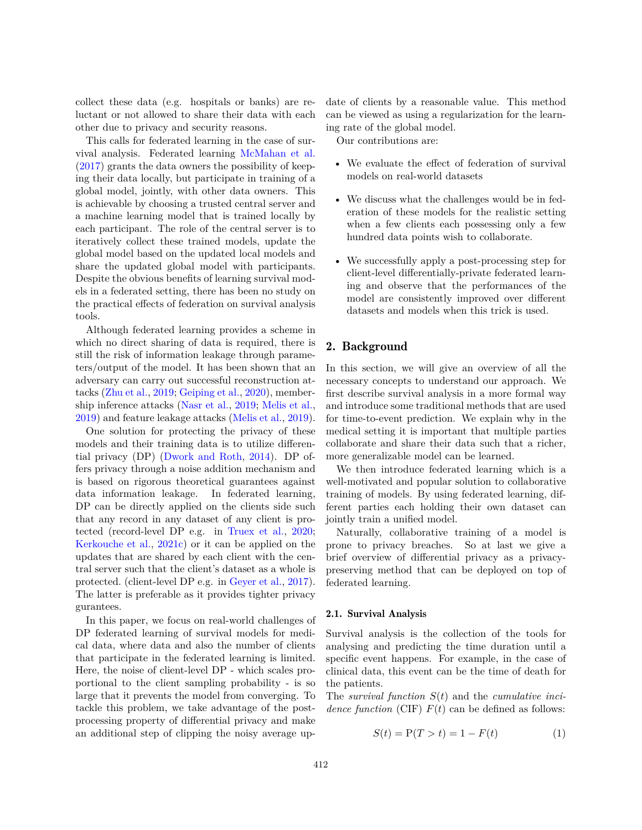collect these data (e.g. hospitals or banks) are reluctant or not allowed to share their data with each other due to privacy and security reasons.

This calls for federated learning in the case of survival analysis. Federated learning [McMahan et al.](#page-12-4) [\(2017\)](#page-12-4) grants the data owners the possibility of keeping their data locally, but participate in training of a global model, jointly, with other data owners. This is achievable by choosing a trusted central server and a machine learning model that is trained locally by each participant. The role of the central server is to iteratively collect these trained models, update the global model based on the updated local models and share the updated global model with participants. Despite the obvious benefits of learning survival models in a federated setting, there has been no study on the practical effects of federation on survival analysis tools.

Although federated learning provides a scheme in which no direct sharing of data is required, there is still the risk of information leakage through parameters/output of the model. It has been shown that an adversary can carry out successful reconstruction attacks [\(Zhu et al.,](#page-13-0) [2019;](#page-13-0) [Geiping et al.,](#page-10-5) [2020\)](#page-10-5), membership inference attacks [\(Nasr et al.,](#page-12-5) [2019;](#page-12-5) [Melis et al.,](#page-12-6) [2019\)](#page-12-6) and feature leakage attacks [\(Melis et al.,](#page-12-6) [2019\)](#page-12-6).

One solution for protecting the privacy of these models and their training data is to utilize differential privacy (DP) [\(Dwork and Roth,](#page-10-6) [2014\)](#page-10-6). DP offers privacy through a noise addition mechanism and is based on rigorous theoretical guarantees against data information leakage. In federated learning, DP can be directly applied on the clients side such that any record in any dataset of any client is protected (record-level DP e.g. in [Truex et al.,](#page-12-7) [2020;](#page-12-7) [Kerkouche et al.,](#page-11-3) [2021c\)](#page-11-3) or it can be applied on the updates that are shared by each client with the central server such that the client's dataset as a whole is protected. (client-level DP e.g. in [Geyer et al.,](#page-10-7) [2017\)](#page-10-7). The latter is preferable as it provides tighter privacy gurantees.

In this paper, we focus on real-world challenges of DP federated learning of survival models for medical data, where data and also the number of clients that participate in the federated learning is limited. Here, the noise of client-level DP - which scales proportional to the client sampling probability - is so large that it prevents the model from converging. To tackle this problem, we take advantage of the postprocessing property of differential privacy and make an additional step of clipping the noisy average update of clients by a reasonable value. This method can be viewed as using a regularization for the learning rate of the global model.

Our contributions are:

- We evaluate the effect of federation of survival models on real-world datasets
- We discuss what the challenges would be in federation of these models for the realistic setting when a few clients each possessing only a few hundred data points wish to collaborate.
- We successfully apply a post-processing step for client-level differentially-private federated learning and observe that the performances of the model are consistently improved over different datasets and models when this trick is used.

# 2. Background

In this section, we will give an overview of all the necessary concepts to understand our approach. We first describe survival analysis in a more formal way and introduce some traditional methods that are used for time-to-event prediction. We explain why in the medical setting it is important that multiple parties collaborate and share their data such that a richer, more generalizable model can be learned.

We then introduce federated learning which is a well-motivated and popular solution to collaborative training of models. By using federated learning, different parties each holding their own dataset can jointly train a unified model.

Naturally, collaborative training of a model is prone to privacy breaches. So at last we give a brief overview of differential privacy as a privacypreserving method that can be deployed on top of federated learning.

#### 2.1. Survival Analysis

Survival analysis is the collection of the tools for analysing and predicting the time duration until a specific event happens. For example, in the case of clinical data, this event can be the time of death for the patients.

The *survival function S*(*t*) and the *cumulative incidence function* (CIF)  $F(t)$  can be defined as follows:

$$
S(t) = P(T > t) = 1 - F(t)
$$
\n(1)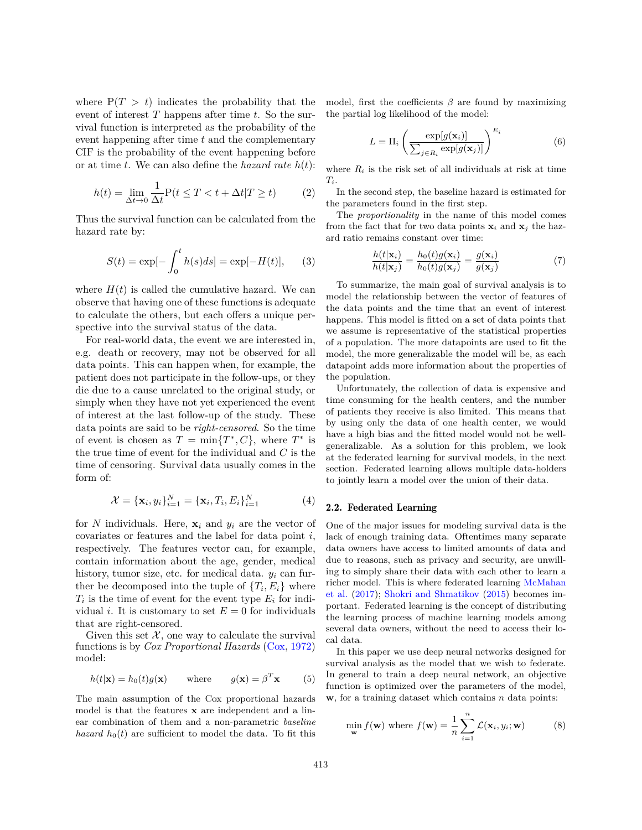where  $P(T > t)$  indicates the probability that the event of interest *T* happens after time *t*. So the survival function is interpreted as the probability of the event happening after time *t* and the complementary CIF is the probability of the event happening before or at time *t*. We can also define the *hazard rate h*(*t*):

$$
h(t) = \lim_{\Delta t \to 0} \frac{1}{\Delta t} P(t \le T < t + \Delta t | T \ge t) \tag{2}
$$

Thus the survival function can be calculated from the hazard rate by:

$$
S(t) = \exp[-\int_0^t h(s)ds] = \exp[-H(t)], \quad (3)
$$

where  $H(t)$  is called the cumulative hazard. We can observe that having one of these functions is adequate to calculate the others, but each offers a unique perspective into the survival status of the data.

For real-world data, the event we are interested in, e.g. death or recovery, may not be observed for all data points. This can happen when, for example, the patient does not participate in the follow-ups, or they die due to a cause unrelated to the original study, or simply when they have not yet experienced the event of interest at the last follow-up of the study. These data points are said to be *right-censored*. So the time of event is chosen as  $T = \min\{T^*, C\}$ , where  $T^*$  is the true time of event for the individual and *C* is the time of censoring. Survival data usually comes in the form of:

$$
\mathcal{X} = {\mathbf{x}_i, y_i}_{i=1}^N = {\mathbf{x}_i, T_i, E_i}_{i=1}^N
$$
 (4)

for *N* individuals. Here,  $\mathbf{x}_i$  and  $y_i$  are the vector of covariates or features and the label for data point *i*, respectively. The features vector can, for example, contain information about the age, gender, medical history, tumor size, etc. for medical data. *y<sup>i</sup>* can further be decomposed into the tuple of  $\{T_i, E_i\}$  where  $T_i$  is the time of event for the event type  $E_i$  for individual *i*. It is customary to set  $E = 0$  for individuals that are right-censored.

Given this set  $\mathcal{X}$ , one way to calculate the survival functions is by *Cox Proportional Hazards* [\(Cox,](#page-10-8) [1972\)](#page-10-8) model:

<span id="page-2-1"></span>
$$
h(t|\mathbf{x}) = h_0(t)g(\mathbf{x}) \quad \text{where} \quad g(\mathbf{x}) = \beta^T \mathbf{x} \quad (5)
$$

The main assumption of the Cox proportional hazards model is that the features **x** are independent and a linear combination of them and a non-parametric *baseline hazard*  $h_0(t)$  are sufficient to model the data. To fit this

model, first the coefficients  $\beta$  are found by maximizing the partial log likelihood of the model:

$$
L = \Pi_i \left( \frac{\exp[g(\mathbf{x}_i)]}{\sum_{j \in R_i} \exp[g(\mathbf{x}_j)]} \right)^{E_i}
$$
(6)

where  $R_i$  is the risk set of all individuals at risk at time *Ti*.

In the second step, the baseline hazard is estimated for the parameters found in the first step.

The *proportionality* in the name of this model comes from the fact that for two data points  $\mathbf{x}_i$  and  $\mathbf{x}_j$  the hazard ratio remains constant over time:

$$
\frac{h(t|\mathbf{x}_i)}{h(t|\mathbf{x}_j)} = \frac{h_0(t)g(\mathbf{x}_i)}{h_0(t)g(\mathbf{x}_j)} = \frac{g(\mathbf{x}_i)}{g(\mathbf{x}_j)}\tag{7}
$$

To summarize, the main goal of survival analysis is to model the relationship between the vector of features of the data points and the time that an event of interest happens. This model is fitted on a set of data points that we assume is representative of the statistical properties of a population. The more datapoints are used to fit the model, the more generalizable the model will be, as each datapoint adds more information about the properties of the population.

Unfortunately, the collection of data is expensive and time consuming for the health centers, and the number of patients they receive is also limited. This means that by using only the data of one health center, we would have a high bias and the fitted model would not be wellgeneralizable. As a solution for this problem, we look at the federated learning for survival models, in the next section. Federated learning allows multiple data-holders to jointly learn a model over the union of their data.

#### <span id="page-2-0"></span>2.2. Federated Learning

One of the major issues for modeling survival data is the lack of enough training data. Oftentimes many separate data owners have access to limited amounts of data and due to reasons, such as privacy and security, are unwilling to simply share their data with each other to learn a richer model. This is where federated learning [McMahan](#page-12-4) [et al.](#page-12-4) [\(2017\)](#page-12-4); [Shokri and Shmatikov](#page-12-8) [\(2015\)](#page-12-8) becomes important. Federated learning is the concept of distributing the learning process of machine learning models among several data owners, without the need to access their local data.

In this paper we use deep neural networks designed for survival analysis as the model that we wish to federate. In general to train a deep neural network, an objective function is optimized over the parameters of the model, **w**, for a training dataset which contains *n* data points:

$$
\min_{\mathbf{w}} f(\mathbf{w}) \text{ where } f(\mathbf{w}) = \frac{1}{n} \sum_{i=1}^{n} \mathcal{L}(\mathbf{x}_i, y_i; \mathbf{w}) \tag{8}
$$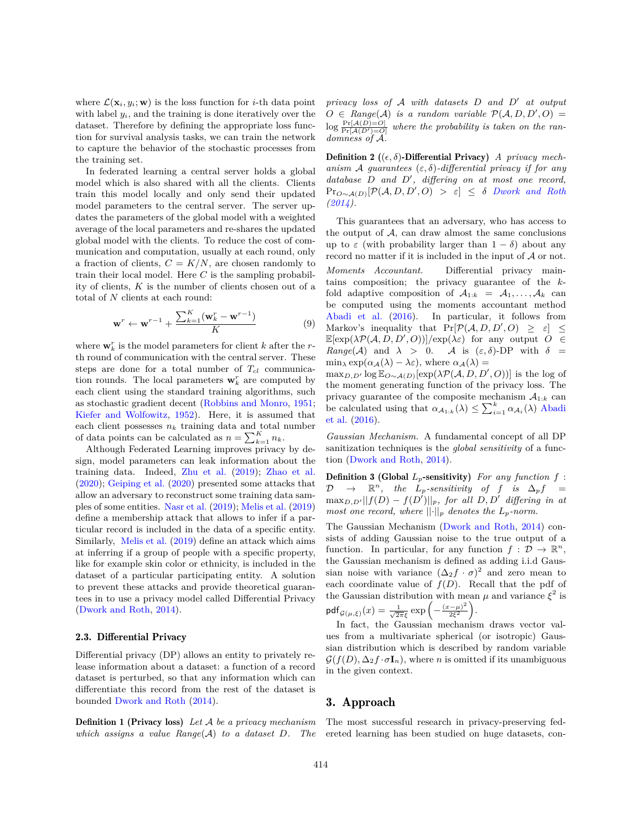where  $\mathcal{L}(\mathbf{x}_i, y_i; \mathbf{w})$  is the loss function for *i*-th data point with label  $y_i$ , and the training is done iteratively over the dataset. Therefore by defining the appropriate loss function for survival analysis tasks, we can train the network to capture the behavior of the stochastic processes from the training set.

In federated learning a central server holds a global model which is also shared with all the clients. Clients train this model locally and only send their updated model parameters to the central server. The server updates the parameters of the global model with a weighted average of the local parameters and re-shares the updated global model with the clients. To reduce the cost of communication and computation, usually at each round, only a fraction of clients,  $C = K/N$ , are chosen randomly to train their local model. Here *C* is the sampling probability of clients, *K* is the number of clients chosen out of a total of *N* clients at each round:

$$
\mathbf{w}^r \leftarrow \mathbf{w}^{r-1} + \frac{\sum_{k=1}^K (\mathbf{w}_k^r - \mathbf{w}^{r-1})}{K}
$$
(9)

where  $\mathbf{w}_k^r$  is the model parameters for client  $k$  after the  $r$ th round of communication with the central server. These steps are done for a total number of *Tcl* communication rounds. The local parameters  $\mathbf{w}_k^r$  are computed by each client using the standard training algorithms, such as stochastic gradient decent [\(Robbins and Monro,](#page-12-9) [1951;](#page-12-9) [Kiefer and Wolfowitz,](#page-11-4) [1952\)](#page-11-4). Here, it is assumed that each client possesses  $n_k$  training data and total number of data points can be calculated as  $n = \sum_{k=1}^{K} n_k$ .

Although Federated Learning improves privacy by design, model parameters can leak information about the training data. Indeed, [Zhu et al.](#page-13-0) [\(2019\)](#page-13-0); [Zhao et al.](#page-13-1) [\(2020\)](#page-13-1); [Geiping et al.](#page-10-5) [\(2020\)](#page-10-5) presented some attacks that allow an adversary to reconstruct some training data samples of some entities. [Nasr et al.](#page-12-5) [\(2019\)](#page-12-5); [Melis et al.](#page-12-6) [\(2019\)](#page-12-6) define a membership attack that allows to infer if a particular record is included in the data of a specific entity. Similarly, [Melis et al.](#page-12-6) [\(2019\)](#page-12-6) define an attack which aims at inferring if a group of people with a specific property, like for example skin color or ethnicity, is included in the dataset of a particular participating entity. A solution to prevent these attacks and provide theoretical guarantees in to use a privacy model called Differential Privacy [\(Dwork and Roth,](#page-10-6) [2014\)](#page-10-6).

#### <span id="page-3-0"></span>2.3. Differential Privacy

Differential privacy (DP) allows an entity to privately release information about a dataset: a function of a record dataset is perturbed, so that any information which can differentiate this record from the rest of the dataset is bounded [Dwork and Roth](#page-10-6) [\(2014\)](#page-10-6).

Definition 1 (Privacy loss) *Let* A *be a privacy mechanism which assigns a value Range*(A) *to a dataset D. The* *privacy loss of* A *with datasets D and D* ′ *at output*  $O \in Range(\mathcal{A})$  *is a random variable*  $\mathcal{P}(\mathcal{A}, D, D', O) =$  $\log \frac{\Pr[A(D)=O]}{\Pr[A(D')=O]}$  where the probability is taken on the ran*domness of* A*.*

Definition 2 ((*ϵ, δ*)-Differential Privacy) *A privacy mechanism* A *guarantees* (*ε, δ*)*-differential privacy if for any database D and D* ′ *, differing on at most one record,*  $\Pr_{O \sim A(D)}[\mathcal{P}(A, D, D', O) > \varepsilon] \leq \delta$  *[Dwork and Roth](#page-10-6) [\(2014\)](#page-10-6).*

This guarantees that an adversary, who has access to the output of  $A$ , can draw almost the same conclusions up to  $\varepsilon$  (with probability larger than  $1 - \delta$ ) about any record no matter if it is included in the input of  $A$  or not. *Moments Accountant.* Differential privacy maintains composition; the privacy guarantee of the *k*fold adaptive composition of  $A_{1:k} = A_1, \ldots, A_k$  can be computed using the moments accountant method [Abadi et al.](#page-10-9) [\(2016\)](#page-10-9). In particular, it follows from Markov's inequality that  $Pr[\mathcal{P}(A, D, D', O) \geq \varepsilon] \leq$  $\mathbb{E}[\exp(\lambda \mathcal{P}(\mathcal{A}, D, D', O))] / \exp(\lambda \varepsilon)$  for any output  $O \in$ *Range*(A) and  $\lambda > 0$ . A is  $(\varepsilon, \delta)$ -DP with  $\delta =$  $\min_{\lambda} \exp(\alpha_A(\lambda) - \lambda \varepsilon)$ , where  $\alpha_A(\lambda) =$ 

 $\max_{D,D'} \log \mathbb{E}_{O \sim \mathcal{A}(D)}[\exp(\lambda \mathcal{P}(\mathcal{A}, D, D', O))]$  is the log of the moment generating function of the privacy loss. The privacy guarantee of the composite mechanism  $A_{1:k}$  can be calculated using that  $\alpha_{\mathcal{A}_{1:k}}(\lambda) \leq \sum_{i=1}^{k} \alpha_{\mathcal{A}_{i}}(\lambda)$  [Abadi](#page-10-9) [et al.](#page-10-9) [\(2016\)](#page-10-9).

*Gaussian Mechanism.* A fundamental concept of all DP sanitization techniques is the *global sensitivity* of a function [\(Dwork and Roth,](#page-10-6) [2014\)](#page-10-6).

Definition 3 (Global *Lp*-sensitivity) *For any function f* :  $\mathcal{D} \rightarrow \mathbb{R}^n$ , the  $L_p$ -sensitivity of  $f$  is  $\Delta_p f =$  $\max_{D,D'}||f(D) - f(D')||_p$ *, for all*  $D, D'$  differing in at *most one record, where*  $||\cdot||_p$  *denotes the*  $L_p$ *-norm.* 

The Gaussian Mechanism [\(Dwork and Roth,](#page-10-6) [2014\)](#page-10-6) consists of adding Gaussian noise to the true output of a function. In particular, for any function  $f: \mathcal{D} \to \mathbb{R}^n$ , the Gaussian mechanism is defined as adding i.i.d Gaussian noise with variance  $(\Delta_2 f \cdot \sigma)^2$  and zero mean to each coordinate value of  $f(D)$ . Recall that the pdf of the Gaussian distribution with mean  $\mu$  and variance  $\xi^2$  is  $\mathsf{pdf}_{\mathcal{G}(\mu,\xi)}(x) = \frac{1}{\sqrt{2\pi}\xi} \exp\left(-\frac{(x-\mu)^2}{2\xi^2}\right)$  $\frac{(-\mu)^2}{2\xi^2}$ ).

In fact, the Gaussian mechanism draws vector values from a multivariate spherical (or isotropic) Gaussian distribution which is described by random variable  $\mathcal{G}(f(D), \Delta_2 f \cdot \sigma \mathbf{I}_n)$ , where *n* is omitted if its unambiguous in the given context.

## 3. Approach

The most successful research in privacy-preserving federeted learning has been studied on huge datasets, con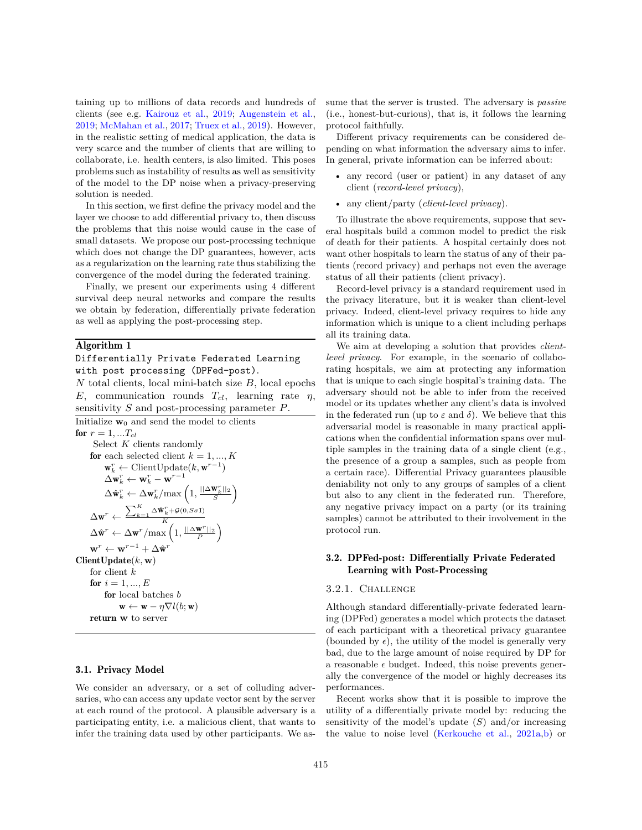taining up to millions of data records and hundreds of clients (see e.g. [Kairouz et al.,](#page-11-5) [2019;](#page-11-5) [Augenstein et al.,](#page-10-10) [2019;](#page-10-10) [McMahan et al.,](#page-12-4) [2017;](#page-12-4) [Truex et al.,](#page-12-10) [2019\)](#page-12-10). However, in the realistic setting of medical application, the data is very scarce and the number of clients that are willing to collaborate, i.e. health centers, is also limited. This poses problems such as instability of results as well as sensitivity of the model to the DP noise when a privacy-preserving solution is needed.

In this section, we first define the privacy model and the layer we choose to add differential privacy to, then discuss the problems that this noise would cause in the case of small datasets. We propose our post-processing technique which does not change the DP guarantees, however, acts as a regularization on the learning rate thus stabilizing the convergence of the model during the federated training.

Finally, we present our experiments using 4 different survival deep neural networks and compare the results we obtain by federation, differentially private federation as well as applying the post-processing step.

#### Algorithm 1

#### Differentially Private Federated Learning with post processing (DPFed-post).

*N* total clients, local mini-batch size *B*, local epochs *E*, communication rounds *Tcl*, learning rate *η*, sensitivity *S* and post-processing parameter *P*.

```
Initialize \mathbf{w}_0 and send the model to clients
for r = 1, ...T_{cl}Select K clients randomly
        for each selected client k = 1, ..., K\mathbf{w}_k^r \leftarrow \text{ClientUpdate}(k, \mathbf{w}^{r-1})\Delta \mathbf{w}_k^r \leftarrow \mathbf{w}_k^r - \mathbf{w}^{r-1}\Delta \hat{\mathbf{w}}_k^r \leftarrow \Delta \mathbf{w}_k^r / \text{max}\left(1, \frac{||\Delta \mathbf{w}_k^r||_2}{S}\right)\Delta \mathbf{w}^r \leftarrow \frac{\sum_{k=1}^K \Delta \hat{\mathbf{w}}_k^r + \mathcal{G}(0, S \sigma \mathbf{I})}{K}\Delta \hat{\mathbf{w}}^{r} \leftarrow \Delta \mathbf{w}^{r}/\text{max}\left(1, \frac{||\Delta \mathbf{w}^{r}||_{2}}{P}\right)\mathbf{w}^r \leftarrow \mathbf{w}^{r-1} + \Delta \hat{\mathbf{w}}^rClientUpdate(k, w)
       for client k
        for i = 1, ..., Efor local batches b
                       \mathbf{w} \leftarrow \mathbf{w} - \eta \nabla l(b; \mathbf{w})return w to server
```
## 3.1. Privacy Model

We consider an adversary, or a set of colluding adversaries, who can access any update vector sent by the server at each round of the protocol. A plausible adversary is a participating entity, i.e. a malicious client, that wants to infer the training data used by other participants. We assume that the server is trusted. The adversary is *passive* (i.e., honest-but-curious), that is, it follows the learning protocol faithfully.

Different privacy requirements can be considered depending on what information the adversary aims to infer. In general, private information can be inferred about:

- any record (user or patient) in any dataset of any client (*record-level privacy*),
- any client/party (*client-level privacy*).

To illustrate the above requirements, suppose that several hospitals build a common model to predict the risk of death for their patients. A hospital certainly does not want other hospitals to learn the status of any of their patients (record privacy) and perhaps not even the average status of all their patients (client privacy).

Record-level privacy is a standard requirement used in the privacy literature, but it is weaker than client-level privacy. Indeed, client-level privacy requires to hide any information which is unique to a client including perhaps all its training data.

We aim at developing a solution that provides *clientlevel privacy*. For example, in the scenario of collaborating hospitals, we aim at protecting any information that is unique to each single hospital's training data. The adversary should not be able to infer from the received model or its updates whether any client's data is involved in the federated run (up to  $\varepsilon$  and  $\delta$ ). We believe that this adversarial model is reasonable in many practical applications when the confidential information spans over multiple samples in the training data of a single client (e.g., the presence of a group a samples, such as people from a certain race). Differential Privacy guarantees plausible deniability not only to any groups of samples of a client but also to any client in the federated run. Therefore, any negative privacy impact on a party (or its training samples) cannot be attributed to their involvement in the protocol run.

# 3.2. DPFed-post: Differentially Private Federated Learning with Post-Processing

#### 3.2.1. Challenge

Although standard differentially-private federated learning (DPFed) generates a model which protects the dataset of each participant with a theoretical privacy guarantee (bounded by  $\epsilon$ ), the utility of the model is generally very bad, due to the large amount of noise required by DP for a reasonable  $\epsilon$  budget. Indeed, this noise prevents generally the convergence of the model or highly decreases its performances.

Recent works show that it is possible to improve the utility of a differentially private model by: reducing the sensitivity of the model's update (*S*) and/or increasing the value to noise level [\(Kerkouche et al.,](#page-11-6) [2021a,](#page-11-6)[b\)](#page-11-7) or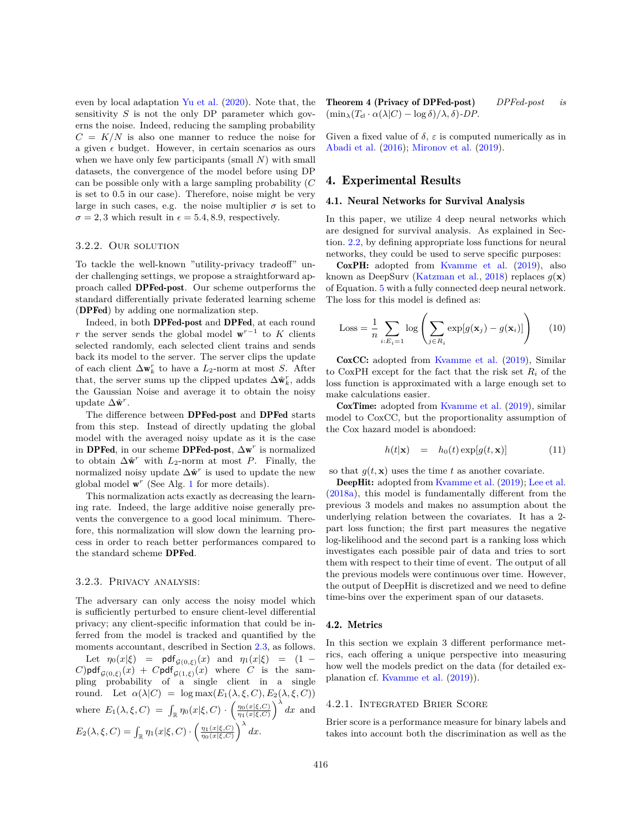even by local adaptation [Yu et al.](#page-13-2) [\(2020\)](#page-13-2). Note that, the sensitivity *S* is not the only DP parameter which governs the noise. Indeed, reducing the sampling probability  $C = K/N$  is also one manner to reduce the noise for a given  $\epsilon$  budget. However, in certain scenarios as ours when we have only few participants (small *N*) with small datasets, the convergence of the model before using DP can be possible only with a large sampling probability (*C* is set to 0.5 in our case). Therefore, noise might be very large in such cases, e.g. the noise multiplier  $\sigma$  is set to  $\sigma = 2, 3$  which result in  $\epsilon = 5.4, 8.9$ , respectively.

#### 3.2.2. Our solution

To tackle the well-known "utility-privacy tradeoff" under challenging settings, we propose a straightforward approach called DPFed-post. Our scheme outperforms the standard differentially private federated learning scheme (DPFed) by adding one normalization step.

Indeed, in both DPFed-post and DPFed, at each round *r* the server sends the global model  $w^{r-1}$  to *K* clients selected randomly, each selected client trains and sends back its model to the server. The server clips the update of each client  $\Delta \mathbf{w}_k^r$  to have a *L*<sub>2</sub>-norm at most *S*. After that, the server sums up the clipped updates  $\Delta \hat{\mathbf{w}}_k^r$ , adds the Gaussian Noise and average it to obtain the noisy update  $\Delta \hat{\mathbf{w}}^r$ .

The difference between DPFed-post and DPFed starts from this step. Instead of directly updating the global model with the averaged noisy update as it is the case in DPFed, in our scheme DPFed-post, ∆w *r* is normalized to obtain  $\Delta \hat{\mathbf{w}}^r$  with *L*<sub>2</sub>-norm at most *P*. Finally, the normalized noisy update  $\Delta \hat{\mathbf{w}}^r$  is used to update the new global model  $\mathbf{w}^r$  (See Alg. [1](#page-4-0) for more details).

This normalization acts exactly as decreasing the learning rate. Indeed, the large additive noise generally prevents the convergence to a good local minimum. Therefore, this normalization will slow down the learning process in order to reach better performances compared to the standard scheme DPFed.

#### 3.2.3. Privacy analysis:

<span id="page-5-1"></span>The adversary can only access the noisy model which is sufficiently perturbed to ensure client-level differential privacy; any client-specific information that could be inferred from the model is tracked and quantified by the moments accountant, described in Section [2.3,](#page-3-0) as follows. Let  $\eta_0(x|\xi) = \text{pdf}_{\mathcal{G}(0,\xi)}(x)$  and  $\eta_1(x|\xi) = (1 - \xi)$  $C$ )pdf<sub> $G(0,\xi)$ </sub> $(x)$  +  $C$ pdf<sub> $G(1,\xi)$ </sub> $(x)$  where  $C$  is the sampling probability of a single client in a single round. Let  $\alpha(\lambda|C) = \log \max(E_1(\lambda, \xi, C), E_2(\lambda, \xi, C))$ where  $E_1(\lambda, \xi, C) = \int_{\mathbb{R}} \eta_0(x|\xi, C) \cdot \left( \frac{\eta_0(x|\xi, C)}{\eta_1(x|\xi, C)} \right)^{\lambda} dx$  and  $E_2(\lambda, \xi, C) = \int_{\mathbb{R}} \eta_1(x|\xi, C) \cdot \left( \frac{\eta_1(x|\xi, C)}{\eta_0(x|\xi, C)} \right)^{\lambda} dx.$ 

Theorem 4 (Privacy of DPFed-post) *DPFed-post is*  $(\min_{\lambda} (T_{\text{cl}} \cdot \alpha(\lambda | C) - \log \delta)/\lambda, \delta)$ *-DP.* 

Given a fixed value of  $\delta$ ,  $\varepsilon$  is computed numerically as in [Abadi et al.](#page-10-9) [\(2016\)](#page-10-9); [Mironov et al.](#page-12-11) [\(2019\)](#page-12-11).

# 4. Experimental Results

#### <span id="page-5-0"></span>4.1. Neural Networks for Survival Analysis

In this paper, we utilize 4 deep neural networks which are designed for survival analysis. As explained in Section. [2.2,](#page-2-0) by defining appropriate loss functions for neural networks, they could be used to serve specific purposes:

CoxPH: adopted from [Kvamme et al.](#page-11-8) [\(2019\)](#page-11-8), also known as DeepSurv [\(Katzman et al.,](#page-11-9) [2018\)](#page-11-9) replaces *g*(**x**) of Equation. [5](#page-2-1) with a fully connected deep neural network. The loss for this model is defined as:

$$
\text{Loss} = \frac{1}{n} \sum_{i:E_i=1} \log \left( \sum_{j \in R_i} \exp[g(\mathbf{x}_j) - g(\mathbf{x}_i)] \right) \tag{10}
$$

CoxCC: adopted from [Kvamme et al.](#page-11-8) [\(2019\)](#page-11-8), Similar to CoxPH except for the fact that the risk set  $R_i$  of the loss function is approximated with a large enough set to make calculations easier.

CoxTime: adopted from [Kvamme et al.](#page-11-8) [\(2019\)](#page-11-8), similar model to CoxCC, but the proportionality assumption of the Cox hazard model is abondoed:

$$
h(t|\mathbf{x}) = h_0(t) \exp[g(t, \mathbf{x})]
$$
\n(11)

so that  $q(t, \mathbf{x})$  uses the time *t* as another covariate.

DeepHit: adopted from [Kvamme et al.](#page-11-8) [\(2019\)](#page-11-8); [Lee et al.](#page-11-10) [\(2018a\)](#page-11-10), this model is fundamentally different from the previous 3 models and makes no assumption about the underlying relation between the covariates. It has a 2 part loss function; the first part measures the negative log-likelihood and the second part is a ranking loss which investigates each possible pair of data and tries to sort them with respect to their time of event. The output of all the previous models were continuous over time. However, the output of DeepHit is discretized and we need to define time-bins over the experiment span of our datasets.

#### 4.2. Metrics

In this section we explain 3 different performance metrics, each offering a unique perspective into measuring how well the models predict on the data (for detailed explanation cf. [Kvamme et al.](#page-11-8) [\(2019\)](#page-11-8)).

#### 4.2.1. Integrated Brier Score

Brier score is a performance measure for binary labels and takes into account both the discrimination as well as the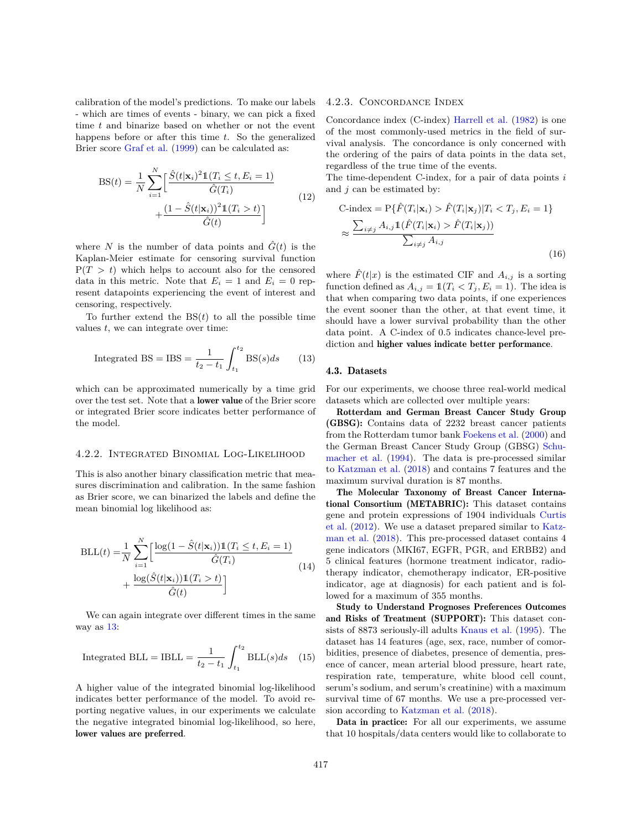calibration of the model's predictions. To make our labels - which are times of events - binary, we can pick a fixed time *t* and binarize based on whether or not the event happens before or after this time *t*. So the generalized Brier score [Graf et al.](#page-11-11) [\(1999\)](#page-11-11) can be calculated as:

$$
BS(t) = \frac{1}{N} \sum_{i=1}^{N} \left[ \frac{\hat{S}(t|\mathbf{x}_i)^2 \mathbb{1}(T_i \le t, E_i = 1)}{\hat{G}(T_i)} + \frac{(1 - \hat{S}(t|\mathbf{x}_i))^2 \mathbb{1}(T_i > t)}{\hat{G}(t)} \right]
$$
(12)

where *N* is the number of data points and  $\hat{G}(t)$  is the Kaplan-Meier estimate for censoring survival function  $P(T > t)$  which helps to account also for the censored data in this metric. Note that  $E_i = 1$  and  $E_i = 0$  represent datapoints experiencing the event of interest and censoring, respectively.

To further extend the  $BS(t)$  to all the possible time values *t*, we can integrate over time:

<span id="page-6-0"></span>Integrated BS = IBS = 
$$
\frac{1}{t_2 - t_1} \int_{t_1}^{t_2} \text{BS}(s)ds
$$
 (13)

which can be approximated numerically by a time grid over the test set. Note that a lower value of the Brier score or integrated Brier score indicates better performance of the model.

#### 4.2.2. Integrated Binomial Log-Likelihood

This is also another binary classification metric that measures discrimination and calibration. In the same fashion as Brier score, we can binarized the labels and define the mean binomial log likelihood as:

$$
BLL(t) = \frac{1}{N} \sum_{i=1}^{N} \left[ \frac{\log(1 - \hat{S}(t|\mathbf{x}_i)) \mathbb{1}(T_i \le t, E_i = 1)}{\hat{G}(T_i)} + \frac{\log(\hat{S}(t|\mathbf{x}_i)) \mathbb{1}(T_i > t)}{\hat{G}(t)} \right]
$$
(14)

We can again integrate over different times in the same way as  $13$ :

Integrated BLL = IBLL = 
$$
\frac{1}{t_2 - t_1} \int_{t_1}^{t_2} \text{BLL}(s) ds \quad (15)
$$

A higher value of the integrated binomial log-likelihood indicates better performance of the model. To avoid reporting negative values, in our experiments we calculate the negative integrated binomial log-likelihood, so here, lower values are preferred.

## 4.2.3. Concordance Index

Concordance index (C-index) [Harrell et al.](#page-11-12) [\(1982\)](#page-11-12) is one of the most commonly-used metrics in the field of survival analysis. The concordance is only concerned with the ordering of the pairs of data points in the data set, regardless of the true time of the events.

The time-dependent C-index, for a pair of data points *i* and *j* can be estimated by:

C-index = 
$$
P\{\hat{F}(T_i|\mathbf{x}_i) > \hat{F}(T_i|\mathbf{x}_j)|T_i < T_j, E_i = 1\}
$$
  
\n
$$
\approx \frac{\sum_{i \neq j} A_{i,j} \mathbb{1}(\hat{F}(T_i|\mathbf{x}_i) > \hat{F}(T_i|\mathbf{x}_j))}{\sum_{i \neq j} A_{i,j}}
$$
\n(16)

where  $\hat{F}(t|x)$  is the estimated CIF and  $A_{i,j}$  is a sorting function defined as  $A_{i,j} = \mathbb{1}(T_i \leq T_j, E_i = 1)$ . The idea is that when comparing two data points, if one experiences the event sooner than the other, at that event time, it should have a lower survival probability than the other data point. A C-index of 0*.*5 indicates chance-level prediction and higher values indicate better performance.

#### 4.3. Datasets

For our experiments, we choose three real-world medical datasets which are collected over multiple years:

Rotterdam and German Breast Cancer Study Group (GBSG): Contains data of 2232 breast cancer patients from the Rotterdam tumor bank [Foekens et al.](#page-10-11) [\(2000\)](#page-10-11) and the German Breast Cancer Study Group (GBSG) [Schu](#page-12-12)[macher et al.](#page-12-12) [\(1994\)](#page-12-12). The data is pre-processed similar to [Katzman et al.](#page-11-9) [\(2018\)](#page-11-9) and contains 7 features and the maximum survival duration is 87 months.

The Molecular Taxonomy of Breast Cancer International Consortium (METABRIC): This dataset contains gene and protein expressions of 1904 individuals [Curtis](#page-10-12) [et al.](#page-10-12) [\(2012\)](#page-10-12). We use a dataset prepared similar to [Katz](#page-11-9)[man et al.](#page-11-9) [\(2018\)](#page-11-9). This pre-processed dataset contains 4 gene indicators (MKI67, EGFR, PGR, and ERBB2) and 5 clinical features (hormone treatment indicator, radiotherapy indicator, chemotherapy indicator, ER-positive indicator, age at diagnosis) for each patient and is followed for a maximum of 355 months.

Study to Understand Prognoses Preferences Outcomes and Risks of Treatment (SUPPORT): This dataset consists of 8873 seriously-ill adults [Knaus et al.](#page-11-13) [\(1995\)](#page-11-13). The dataset has 14 features (age, sex, race, number of comorbidities, presence of diabetes, presence of dementia, presence of cancer, mean arterial blood pressure, heart rate, respiration rate, temperature, white blood cell count, serum's sodium, and serum's creatinine) with a maximum survival time of 67 months. We use a pre-processed version according to [Katzman et al.](#page-11-9) [\(2018\)](#page-11-9).

Data in practice: For all our experiments, we assume that 10 hospitals/data centers would like to collaborate to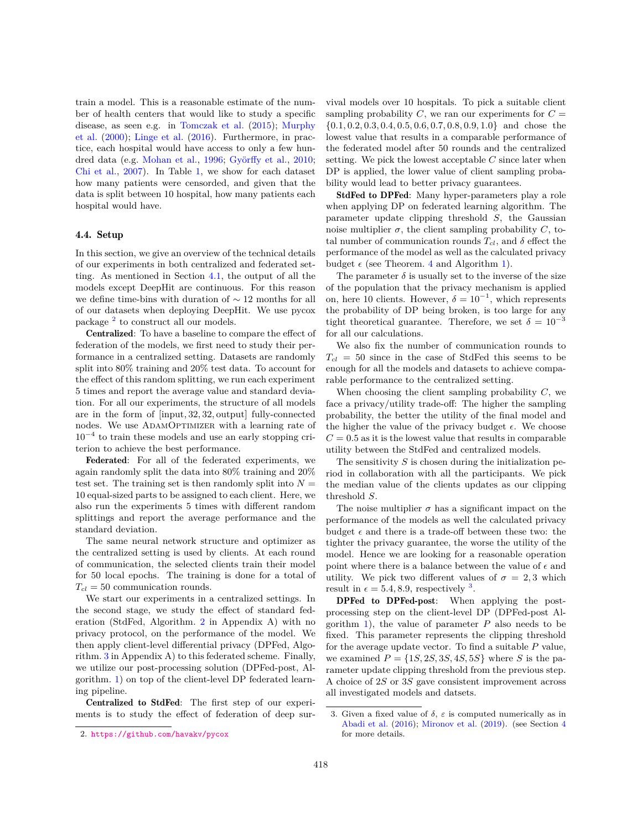train a model. This is a reasonable estimate of the number of health centers that would like to study a specific disease, as seen e.g. in [Tomczak et al.](#page-12-13) [\(2015\)](#page-12-13); [Murphy](#page-12-14) [et al.](#page-12-14) [\(2000\)](#page-12-14); [Linge et al.](#page-12-15) [\(2016\)](#page-12-15). Furthermore, in practice, each hospital would have access to only a few hun-dred data (e.g. [Mohan et al.,](#page-12-16) [1996;](#page-12-16) Györffy et al., [2010;](#page-11-14) [Chi et al.,](#page-10-13) [2007\)](#page-10-13). In Table [1,](#page-8-0) we show for each dataset how many patients were censorded, and given that the data is split between 10 hospital, how many patients each hospital would have.

#### <span id="page-7-2"></span>4.4. Setup

In this section, we give an overview of the technical details of our experiments in both centralized and federated setting. As mentioned in Section [4.1,](#page-5-0) the output of all the models except DeepHit are continuous. For this reason we define time-bins with duration of  $\sim 12$  months for all of our datasets when deploying DeepHit. We use pycox package  $^2$  $^2$  to construct all our models.

Centralized: To have a baseline to compare the effect of federation of the models, we first need to study their performance in a centralized setting. Datasets are randomly split into 80% training and 20% test data. To account for the effect of this random splitting, we run each experiment 5 times and report the average value and standard deviation. For all our experiments, the structure of all models are in the form of [input*,* 32*,* 32*,* output] fully-connected nodes. We use ADAMOPTIMIZER with a learning rate of 10<sup>−</sup><sup>4</sup> to train these models and use an early stopping criterion to achieve the best performance.

Federated: For all of the federated experiments, we again randomly split the data into 80% training and 20% test set. The training set is then randomly split into  $N =$ 10 equal-sized parts to be assigned to each client. Here, we also run the experiments 5 times with different random splittings and report the average performance and the standard deviation.

The same neural network structure and optimizer as the centralized setting is used by clients. At each round of communication, the selected clients train their model for 50 local epochs. The training is done for a total of  $T_{cl} = 50$  communication rounds.

We start our experiments in a centralized settings. In the second stage, we study the effect of standard federation (StdFed, Algorithm. [2](#page-13-3) in Appendix A) with no privacy protocol, on the performance of the model. We then apply client-level differential privacy (DPFed, Algorithm. [3](#page-13-4) in Appendix A) to this federated scheme. Finally, we utilize our post-processing solution (DPFed-post, Algorithm. [1\)](#page-4-0) on top of the client-level DP federated learning pipeline.

Centralized to StdFed: The first step of our experiments is to study the effect of federation of deep sur-

vival models over 10 hospitals. To pick a suitable client sampling probability  $C$ , we ran our experiments for  $C =$ {0*.*1*,* 0*.*2*,* 0*.*3*,* 0*.*4*,* 0*.*5*,* 0*.*6*,* 0*.*7*,* 0*.*8*,* 0*.*9*,* 1*.*0} and chose the lowest value that results in a comparable performance of the federated model after 50 rounds and the centralized setting. We pick the lowest acceptable *C* since later when DP is applied, the lower value of client sampling probability would lead to better privacy guarantees.

StdFed to DPFed: Many hyper-parameters play a role when applying DP on federated learning algorithm. The parameter update clipping threshold *S*, the Gaussian noise multiplier  $\sigma$ , the client sampling probability *C*, total number of communication rounds  $T_{cl}$ , and  $\delta$  effect the performance of the model as well as the calculated privacy budget  $\epsilon$  (see Theorem. [4](#page-5-1) and Algorithm [1\)](#page-4-0).

The parameter  $\delta$  is usually set to the inverse of the size of the population that the privacy mechanism is applied on, here 10 clients. However,  $\delta = 10^{-1}$ , which represents the probability of DP being broken, is too large for any tight theoretical guarantee. Therefore, we set  $\delta = 10^{-3}$ for all our calculations.

We also fix the number of communication rounds to  $T_{cl}$  = 50 since in the case of StdFed this seems to be enough for all the models and datasets to achieve comparable performance to the centralized setting.

When choosing the client sampling probability *C*, we face a privacy/utility trade-off: The higher the sampling probability, the better the utility of the final model and the higher the value of the privacy budget  $\epsilon$ . We choose  $C = 0.5$  as it is the lowest value that results in comparable utility between the StdFed and centralized models.

The sensitivity *S* is chosen during the initialization period in collaboration with all the participants. We pick the median value of the clients updates as our clipping threshold *S*.

The noise multiplier  $\sigma$  has a significant impact on the performance of the models as well the calculated privacy budget  $\epsilon$  and there is a trade-off between these two: the tighter the privacy guarantee, the worse the utility of the model. Hence we are looking for a reasonable operation point where there is a balance between the value of  $\epsilon$  and utility. We pick two different values of  $\sigma = 2, 3$  which result in  $\epsilon = 5.4, 8.9$ , respectively <sup>[3](#page-7-1)</sup>.

DPFed to DPFed-post: When applying the postprocessing step on the client-level DP (DPFed-post Algorithm [1\)](#page-4-0), the value of parameter *P* also needs to be fixed. This parameter represents the clipping threshold for the average update vector. To find a suitable *P* value, we examined  $P = \{1S, 2S, 3S, 4S, 5S\}$  where *S* is the parameter update clipping threshold from the previous step. A choice of 2*S* or 3*S* gave consistent improvement across all investigated models and datsets.

<span id="page-7-0"></span><sup>2.</sup> <https://github.com/havakv/pycox>

<span id="page-7-1"></span><sup>3.</sup> Given a fixed value of  $\delta$ ,  $\varepsilon$  is computed numerically as in [Abadi et al.](#page-10-9) [\(2016\)](#page-10-9); [Mironov et al.](#page-12-11) [\(2019\)](#page-12-11). (see Section [4](#page-5-1) for more details.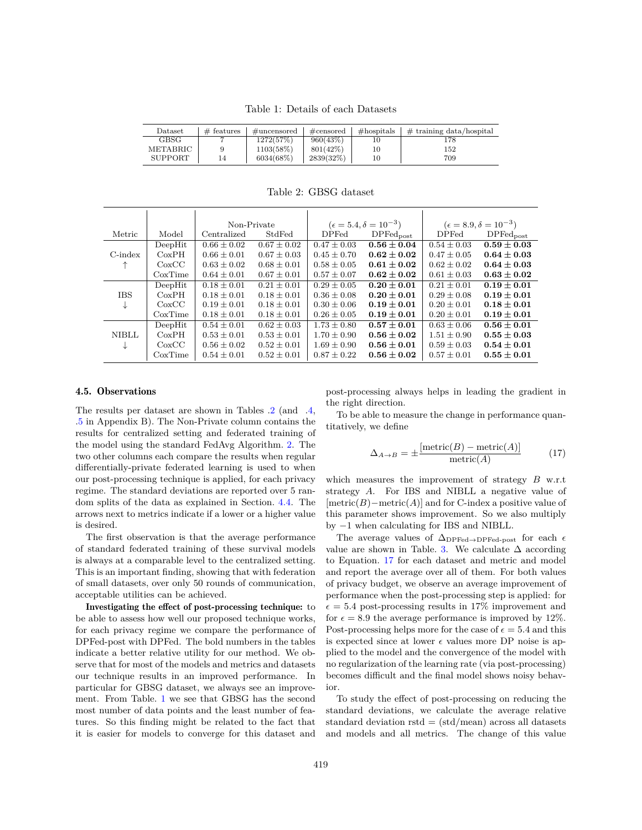Table 1: Details of each Datasets

<span id="page-8-0"></span>

| $\mathop{\text{Dataset}}$ | $#$ features | $\#$ uncensored | $\#\text{censored}$ | $#$ hospitals | $\#$ training data/hospital |
|---------------------------|--------------|-----------------|---------------------|---------------|-----------------------------|
| <b>GBSG</b>               |              | 1272(57%)       | 960(43%)            |               | 178                         |
| METABRIC                  |              | 1103(58%)       | $801(42\%)$         |               | 152                         |
| <b>SUPPORT</b>            | 14           | 6034(68%)       | 2839(32%)           |               | 709                         |

<span id="page-8-1"></span>Non-Private  $(\epsilon = 5.4, \delta = 10^{-3})$  $(\epsilon = 8.9, \delta = 10^{-3})$ Metric Model Centralized StdFed DPFed DPFed<sub>post</sub> DPFed DPFed<sub>post</sub><br>DeepHit  $0.66 \pm 0.02$   $0.67 \pm 0.02$   $0.47 \pm 0.03$   $0.56 \pm 0.04$   $0.54 \pm 0.03$   $0.59 \pm 0.03$ DeepHit 0*.*66 ± 0*.*02 0*.*67 ± 0*.*02 0*.*47 ± 0*.*03 **0***.***56 ± 0***.***04** 0*.*54 ± 0*.*03 **0***.***59 ± 0***.***03** C-index  $\begin{array}{|c|c|c|c|c|c|c|c|} \hline \text{CoxPH} & \text{OxPH} & 0.66 \pm 0.01 & 0.67 \pm 0.03 & 0.45 \pm 0.70 & \textbf{0.62} \pm 0.02 & 0.47 \pm 0.05 & \textbf{0.64} \pm \textbf{0.03} \ \hline \uparrow & \text{CoxCC} & 0.63 \pm 0.02 & 0.68 \pm 0.01 & 0.58 \pm 0.05 & \textbf{0.61} \pm \textbf{0.02} & 0.62$  $\uparrow$   $\qquad$   $\qquad$   $\qquad$   $\qquad$   $\qquad$   $\qquad$   $\qquad$   $\qquad$   $\qquad$   $\qquad$   $\qquad$   $\qquad$   $\qquad$   $\qquad$   $\qquad$   $\qquad$   $\qquad$   $\qquad$   $\qquad$   $\qquad$   $\qquad$   $\qquad$   $\qquad$   $\qquad$   $\qquad$   $\qquad$   $\qquad$   $\qquad$   $\qquad$   $\qquad$   $\qquad$   $\qquad$   $\qquad$   $\qquad$   $\qquad$   $\qquad$ CoxTime 0*.*64 ± 0*.*01 0*.*67 ± 0*.*01 0*.*57 ± 0*.*07 **0***.***62 ± 0***.***02** 0*.*61 ± 0*.*03 **0***.***63 ± 0***.***02** DeepHit 0*.*18 ± 0*.*01 0*.*21 ± 0*.*01 0*.*29 ± 0*.*05 **0***.***20 ± 0***.***01** 0*.*21 ± 0*.*01 **0***.***19 ± 0***.***01**  $\begin{array}{c|cccccc}\n\text{IBS} & \text{CoxPH} & 0.18 \pm 0.01 & 0.18 \pm 0.01 & 0.36 \pm 0.08 & \textbf{0.20} \pm 0.01 & 0.29 \pm 0.08 & \textbf{0.19} \pm 0.01 \\
\downarrow & \text{CoxCC} & 0.19 \pm 0.01 & 0.18 \pm 0.01 & 0.30 \pm 0.06 & \textbf{0.19} \pm \textbf{0.01} & 0.20 \pm 0.01 & \textbf{0.18} \pm \textbf{0.01}\n\end$  $\downarrow$   $\qquad \qquad$  CoxCC  $\qquad$  0.19  $\pm$  0.01 0.18  $\pm$  0.01  $\qquad$  0.30  $\pm$  0.06 0.19  $\pm$  0.01 CoxTime 0*.*18 ± 0*.*01 0*.*18 ± 0*.*01 0*.*26 ± 0*.*05 **0***.***19 ± 0***.***01** 0*.*20 ± 0*.*01 **0***.***19 ± 0***.***01** DeepHit  $0.54 \pm 0.01$   $0.62 \pm 0.03$   $1.73 \pm 0.80$   $0.57 \pm 0.01$   $0.63 \pm 0.06$   $0.56 \pm 0.01$ NIBLL  $\left[\begin{array}{cc} \text{CoxPH} & 0.53 \pm 0.01 & 0.53 \pm 0.01 \end{array} \right]$  1.70  $\pm$  0.90 0.56  $\pm$  0.02 1.51  $\pm$  0.90 0.55  $\pm$  0.03

 $\downarrow$   $\qquad$   $\qquad$   $\qquad$   $\qquad$   $\qquad$   $\qquad$   $\qquad$   $\qquad$   $\qquad$   $\qquad$   $\qquad$   $\qquad$   $\qquad$   $\qquad$   $\qquad$   $\qquad$   $\qquad$   $\qquad$   $\qquad$   $\qquad$   $\qquad$   $\qquad$   $\qquad$   $\qquad$   $\qquad$  CoxTime 0*.*54 ± 0*.*01 0*.*52 ± 0*.*01 0*.*87 ± 0*.*22 **0***.***56 ± 0***.***02** 0*.*57 ± 0*.*01 **0***.***55 ± 0***.***01**

Table 2: GBSG dataset

#### <span id="page-8-3"></span>4.5. Observations

The results per dataset are shown in Tables [.2](#page-8-1) (and [.4,](#page-14-1) [.5](#page-14-2) in Appendix B). The Non-Private column contains the results for centralized setting and federated training of the model using the standard FedAvg Algorithm. [2.](#page-13-3) The two other columns each compare the results when regular differentially-private federated learning is used to when our post-processing technique is applied, for each privacy regime. The standard deviations are reported over 5 random splits of the data as explained in Section. [4.4.](#page-7-2) The arrows next to metrics indicate if a lower or a higher value is desired.

The first observation is that the average performance of standard federated training of these survival models is always at a comparable level to the centralized setting. This is an important finding, showing that with federation of small datasets, over only 50 rounds of communication, acceptable utilities can be achieved.

Investigating the effect of post-processing technique: to be able to assess how well our proposed technique works, for each privacy regime we compare the performance of DPFed-post with DPFed. The bold numbers in the tables indicate a better relative utility for our method. We observe that for most of the models and metrics and datasets our technique results in an improved performance. In particular for GBSG dataset, we always see an improvement. From Table. [1](#page-8-0) we see that GBSG has the second most number of data points and the least number of features. So this finding might be related to the fact that it is easier for models to converge for this dataset and

post-processing always helps in leading the gradient in the right direction.

To be able to measure the change in performance quantitatively, we define

<span id="page-8-2"></span>
$$
\Delta_{A \to B} = \pm \frac{\left[\text{metric}(B) - \text{metric}(A)\right]}{\text{metric}(A)} \tag{17}
$$

which measures the improvement of strategy *B* w.r.t strategy *A*. For IBS and NIBLL a negative value of [metric(*B*)−metric(*A*)] and for C-index a positive value of this parameter shows improvement. So we also multiply by −1 when calculating for IBS and NIBLL.

The average values of  $\Delta_{\text{DPFed}\rightarrow\text{DPFed-post}}$  for each  $\epsilon$ value are shown in Table. [3.](#page-10-14) We calculate  $\Delta$  according to Equation. [17](#page-8-2) for each dataset and metric and model and report the average over all of them. For both values of privacy budget, we observe an average improvement of performance when the post-processing step is applied: for  $\epsilon = 5.4$  post-processing results in 17% improvement and for  $\epsilon = 8.9$  the average performance is improved by 12%. Post-processing helps more for the case of  $\epsilon = 5.4$  and this is expected since at lower  $\epsilon$  values more DP noise is applied to the model and the convergence of the model with no regularization of the learning rate (via post-processing) becomes difficult and the final model shows noisy behavior.

To study the effect of post-processing on reducing the standard deviations, we calculate the average relative standard deviation  $rstd = (std/mean)$  across all datasets and models and all metrics. The change of this value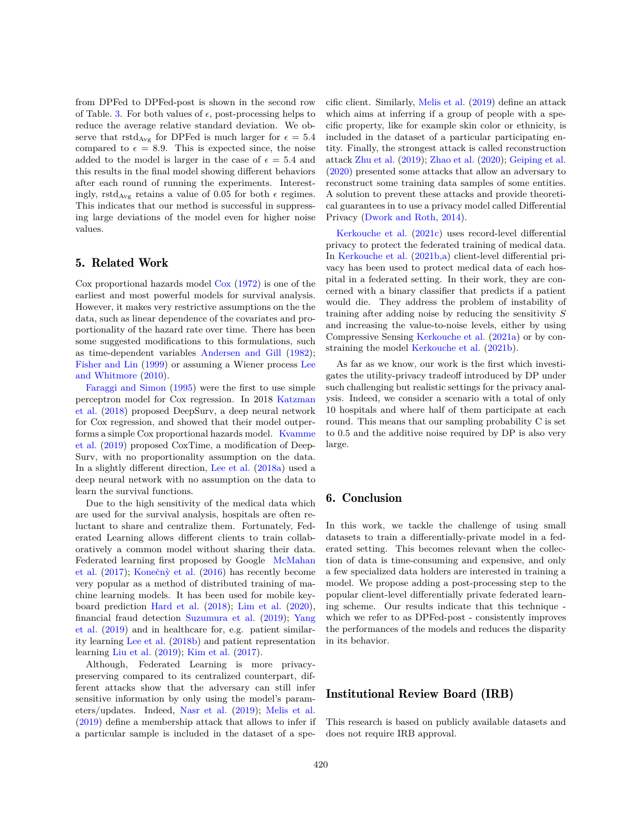from DPFed to DPFed-post is shown in the second row of Table. [3.](#page-10-14) For both values of  $\epsilon$ , post-processing helps to reduce the average relative standard deviation. We observe that  $\text{rstd}_{\text{Avg}}$  for DPFed is much larger for  $\epsilon = 5.4$ compared to  $\epsilon = 8.9$ . This is expected since, the noise added to the model is larger in the case of  $\epsilon = 5.4$  and this results in the final model showing different behaviors after each round of running the experiments. Interestingly, rstd<sub>Avg</sub> retains a value of 0.05 for both  $\epsilon$  regimes. This indicates that our method is successful in suppressing large deviations of the model even for higher noise values.

## 5. Related Work

Cox proportional hazards model [Cox](#page-10-8) [\(1972\)](#page-10-8) is one of the earliest and most powerful models for survival analysis. However, it makes very restrictive assumptions on the the data, such as linear dependence of the covariates and proportionality of the hazard rate over time. There has been some suggested modifications to this formulations, such as time-dependent variables [Andersen and Gill](#page-10-15) [\(1982\)](#page-10-15); [Fisher and Lin](#page-10-16) [\(1999\)](#page-10-16) or assuming a Wiener process [Lee](#page-11-15) [and Whitmore](#page-11-15) [\(2010\)](#page-11-15).

[Faraggi and Simon](#page-10-17) [\(1995\)](#page-10-17) were the first to use simple perceptron model for Cox regression. In 2018 [Katzman](#page-11-9) [et al.](#page-11-9) [\(2018\)](#page-11-9) proposed DeepSurv, a deep neural network for Cox regression, and showed that their model outperforms a simple Cox proportional hazards model. [Kvamme](#page-11-8) [et al.](#page-11-8) [\(2019\)](#page-11-8) proposed CoxTime, a modification of Deep-Surv, with no proportionality assumption on the data. In a slightly different direction, [Lee et al.](#page-11-10) [\(2018a\)](#page-11-10) used a deep neural network with no assumption on the data to learn the survival functions.

Due to the high sensitivity of the medical data which are used for the survival analysis, hospitals are often reluctant to share and centralize them. Fortunately, Federated Learning allows different clients to train collaboratively a common model without sharing their data. Federated learning first proposed by Google [McMahan](#page-12-4) [et al.](#page-12-4)  $(2017)$ ; Konečn $\dot{y}$  et al.  $(2016)$  has recently become very popular as a method of distributed training of machine learning models. It has been used for mobile keyboard prediction [Hard et al.](#page-11-17) [\(2018\)](#page-11-17); [Lim et al.](#page-12-17) [\(2020\)](#page-12-17), financial fraud detection [Suzumura et al.](#page-12-18) [\(2019\)](#page-12-18); [Yang](#page-12-19) [et al.](#page-12-19) [\(2019\)](#page-12-19) and in healthcare for, e.g. patient similarity learning [Lee et al.](#page-11-18) [\(2018b\)](#page-11-18) and patient representation learning [Liu et al.](#page-12-20) [\(2019\)](#page-12-20); [Kim et al.](#page-11-19) [\(2017\)](#page-11-19).

Although, Federated Learning is more privacypreserving compared to its centralized counterpart, different attacks show that the adversary can still infer sensitive information by only using the model's parameters/updates. Indeed, [Nasr et al.](#page-12-5) [\(2019\)](#page-12-5); [Melis et al.](#page-12-6) [\(2019\)](#page-12-6) define a membership attack that allows to infer if a particular sample is included in the dataset of a specific client. Similarly, [Melis et al.](#page-12-6) [\(2019\)](#page-12-6) define an attack which aims at inferring if a group of people with a specific property, like for example skin color or ethnicity, is included in the dataset of a particular participating entity. Finally, the strongest attack is called reconstruction attack [Zhu et al.](#page-13-0) [\(2019\)](#page-13-0); [Zhao et al.](#page-13-1) [\(2020\)](#page-13-1); [Geiping et al.](#page-10-5) [\(2020\)](#page-10-5) presented some attacks that allow an adversary to reconstruct some training data samples of some entities. A solution to prevent these attacks and provide theoretical guarantees in to use a privacy model called Differential Privacy [\(Dwork and Roth,](#page-10-6) [2014\)](#page-10-6).

[Kerkouche et al.](#page-11-3) [\(2021c\)](#page-11-3) uses record-level differential privacy to protect the federated training of medical data. In [Kerkouche et al.](#page-11-7) [\(2021b,](#page-11-7)[a\)](#page-11-6) client-level differential privacy has been used to protect medical data of each hospital in a federated setting. In their work, they are concerned with a binary classifier that predicts if a patient would die. They address the problem of instability of training after adding noise by reducing the sensitivity *S* and increasing the value-to-noise levels, either by using Compressive Sensing [Kerkouche et al.](#page-11-6) [\(2021a\)](#page-11-6) or by constraining the model [Kerkouche et al.](#page-11-7) [\(2021b\)](#page-11-7).

As far as we know, our work is the first which investigates the utility-privacy tradeoff introduced by DP under such challenging but realistic settings for the privacy analysis. Indeed, we consider a scenario with a total of only 10 hospitals and where half of them participate at each round. This means that our sampling probability C is set to 0.5 and the additive noise required by DP is also very large.

# 6. Conclusion

In this work, we tackle the challenge of using small datasets to train a differentially-private model in a federated setting. This becomes relevant when the collection of data is time-consuming and expensive, and only a few specialized data holders are interested in training a model. We propose adding a post-processing step to the popular client-level differentially private federated learning scheme. Our results indicate that this technique which we refer to as DPFed-post - consistently improves the performances of the models and reduces the disparity in its behavior.

# Institutional Review Board (IRB)

This research is based on publicly available datasets and does not require IRB approval.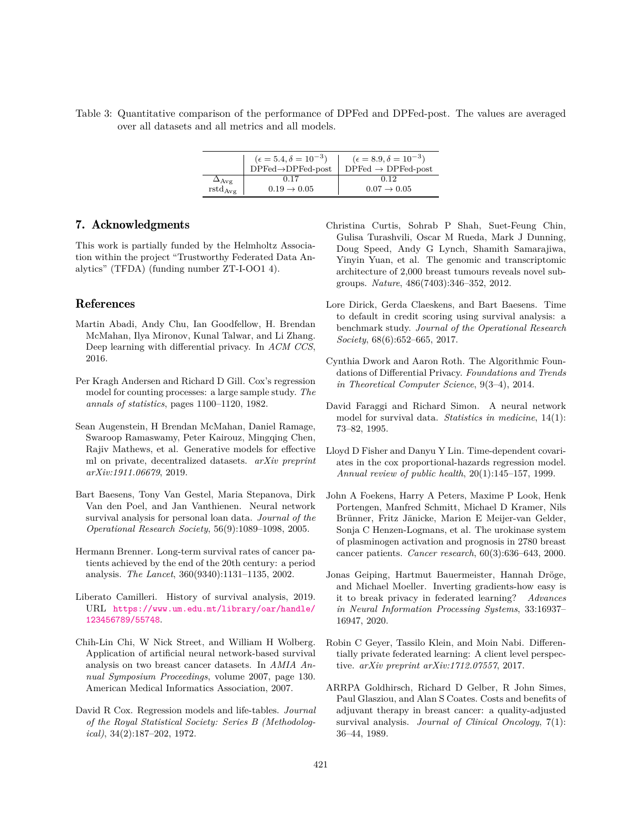<span id="page-10-14"></span>Table 3: Quantitative comparison of the performance of DPFed and DPFed-post. The values are averaged over all datasets and all metrics and all models.

|                    | $(\epsilon = 5.4, \delta = 10^{-3})$ | $(\epsilon = 8.9, \delta = 10^{-3})$  |  |  |
|--------------------|--------------------------------------|---------------------------------------|--|--|
|                    | $DPFed \rightarrow DPFed-post$       | $DPFed \rightarrow DPFed\text{-}post$ |  |  |
| $\Delta_{\rm Avg}$ | 0.17                                 | 0.12                                  |  |  |
| $rstd_{Avg}$       | $0.19 \rightarrow 0.05$              | $0.07 \rightarrow 0.05$               |  |  |

## 7. Acknowledgments

This work is partially funded by the Helmholtz Association within the project "Trustworthy Federated Data Analytics" (TFDA) (funding number ZT-I-OO1 4).

## References

- <span id="page-10-9"></span>Martin Abadi, Andy Chu, Ian Goodfellow, H. Brendan McMahan, Ilya Mironov, Kunal Talwar, and Li Zhang. Deep learning with differential privacy. In *ACM CCS*, 2016.
- <span id="page-10-15"></span>Per Kragh Andersen and Richard D Gill. Cox's regression model for counting processes: a large sample study. *The annals of statistics*, pages 1100–1120, 1982.
- <span id="page-10-10"></span>Sean Augenstein, H Brendan McMahan, Daniel Ramage, Swaroop Ramaswamy, Peter Kairouz, Mingqing Chen, Rajiv Mathews, et al. Generative models for effective ml on private, decentralized datasets. *arXiv preprint arXiv:1911.06679*, 2019.
- <span id="page-10-3"></span>Bart Baesens, Tony Van Gestel, Maria Stepanova, Dirk Van den Poel, and Jan Vanthienen. Neural network survival analysis for personal loan data. *Journal of the Operational Research Society*, 56(9):1089–1098, 2005.
- <span id="page-10-2"></span>Hermann Brenner. Long-term survival rates of cancer patients achieved by the end of the 20th century: a period analysis. *The Lancet*, 360(9340):1131–1135, 2002.
- <span id="page-10-0"></span>Liberato Camilleri. History of survival analysis, 2019. URL [https://www.um.edu.mt/library/oar/handle/](https://www.um.edu.mt/library/oar/handle/123456789/55748) [123456789/55748](https://www.um.edu.mt/library/oar/handle/123456789/55748).
- <span id="page-10-13"></span>Chih-Lin Chi, W Nick Street, and William H Wolberg. Application of artificial neural network-based survival analysis on two breast cancer datasets. In *AMIA Annual Symposium Proceedings*, volume 2007, page 130. American Medical Informatics Association, 2007.
- <span id="page-10-8"></span>David R Cox. Regression models and life-tables. *Journal of the Royal Statistical Society: Series B (Methodological)*, 34(2):187–202, 1972.
- <span id="page-10-12"></span>Christina Curtis, Sohrab P Shah, Suet-Feung Chin, Gulisa Turashvili, Oscar M Rueda, Mark J Dunning, Doug Speed, Andy G Lynch, Shamith Samarajiwa, Yinyin Yuan, et al. The genomic and transcriptomic architecture of 2,000 breast tumours reveals novel subgroups. *Nature*, 486(7403):346–352, 2012.
- <span id="page-10-4"></span>Lore Dirick, Gerda Claeskens, and Bart Baesens. Time to default in credit scoring using survival analysis: a benchmark study. *Journal of the Operational Research Society*, 68(6):652–665, 2017.
- <span id="page-10-6"></span>Cynthia Dwork and Aaron Roth. The Algorithmic Foundations of Differential Privacy. *Foundations and Trends in Theoretical Computer Science*, 9(3–4), 2014.
- <span id="page-10-17"></span>David Faraggi and Richard Simon. A neural network model for survival data. *Statistics in medicine*, 14(1): 73–82, 1995.
- <span id="page-10-16"></span>Lloyd D Fisher and Danyu Y Lin. Time-dependent covariates in the cox proportional-hazards regression model. *Annual review of public health*, 20(1):145–157, 1999.
- <span id="page-10-11"></span>John A Foekens, Harry A Peters, Maxime P Look, Henk Portengen, Manfred Schmitt, Michael D Kramer, Nils Brünner, Fritz Jänicke, Marion E Meijer-van Gelder, Sonja C Henzen-Logmans, et al. The urokinase system of plasminogen activation and prognosis in 2780 breast cancer patients. *Cancer research*, 60(3):636–643, 2000.
- <span id="page-10-5"></span>Jonas Geiping, Hartmut Bauermeister, Hannah Dröge, and Michael Moeller. Inverting gradients-how easy is it to break privacy in federated learning? *Advances in Neural Information Processing Systems*, 33:16937– 16947, 2020.
- <span id="page-10-7"></span>Robin C Geyer, Tassilo Klein, and Moin Nabi. Differentially private federated learning: A client level perspective. *arXiv preprint arXiv:1712.07557*, 2017.
- <span id="page-10-1"></span>ARRPA Goldhirsch, Richard D Gelber, R John Simes, Paul Glasziou, and Alan S Coates. Costs and benefits of adjuvant therapy in breast cancer: a quality-adjusted survival analysis. *Journal of Clinical Oncology*, 7(1): 36–44, 1989.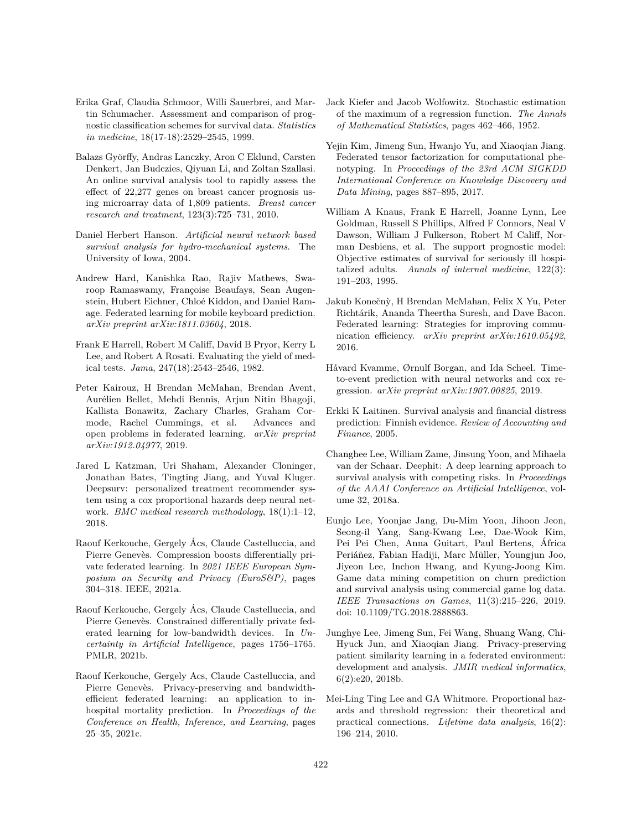- <span id="page-11-11"></span>Erika Graf, Claudia Schmoor, Willi Sauerbrei, and Martin Schumacher. Assessment and comparison of prognostic classification schemes for survival data. *Statistics in medicine*, 18(17-18):2529–2545, 1999.
- <span id="page-11-14"></span>Balazs Györffy, Andras Lanczky, Aron C Eklund, Carsten Denkert, Jan Budczies, Qiyuan Li, and Zoltan Szallasi. An online survival analysis tool to rapidly assess the effect of 22,277 genes on breast cancer prognosis using microarray data of 1,809 patients. *Breast cancer research and treatment*, 123(3):725–731, 2010.
- <span id="page-11-2"></span>Daniel Herbert Hanson. *Artificial neural network based survival analysis for hydro-mechanical systems*. The University of Iowa, 2004.
- <span id="page-11-17"></span>Andrew Hard, Kanishka Rao, Rajiv Mathews, Swaroop Ramaswamy, Françoise Beaufays, Sean Augenstein, Hubert Eichner, Chloé Kiddon, and Daniel Ramage. Federated learning for mobile keyboard prediction. *arXiv preprint arXiv:1811.03604*, 2018.
- <span id="page-11-12"></span>Frank E Harrell, Robert M Califf, David B Pryor, Kerry L Lee, and Robert A Rosati. Evaluating the yield of medical tests. *Jama*, 247(18):2543–2546, 1982.
- <span id="page-11-5"></span>Peter Kairouz, H Brendan McMahan, Brendan Avent, Aurélien Bellet, Mehdi Bennis, Arjun Nitin Bhagoji, Kallista Bonawitz, Zachary Charles, Graham Cormode, Rachel Cummings, et al. Advances and open problems in federated learning. *arXiv preprint arXiv:1912.04977*, 2019.
- <span id="page-11-9"></span>Jared L Katzman, Uri Shaham, Alexander Cloninger, Jonathan Bates, Tingting Jiang, and Yuval Kluger. Deepsurv: personalized treatment recommender system using a cox proportional hazards deep neural network. *BMC medical research methodology*, 18(1):1–12, 2018.
- <span id="page-11-6"></span>Raouf Kerkouche, Gergely Acs, Claude Castelluccia, and ´ Pierre Genevès. Compression boosts differentially private federated learning. In *2021 IEEE European Symposium on Security and Privacy (EuroS&P)*, pages 304–318. IEEE, 2021a.
- <span id="page-11-7"></span>Raouf Kerkouche, Gergely Acs, Claude Castelluccia, and ´ Pierre Genevès. Constrained differentially private federated learning for low-bandwidth devices. In *Uncertainty in Artificial Intelligence*, pages 1756–1765. PMLR, 2021b.
- <span id="page-11-3"></span>Raouf Kerkouche, Gergely Acs, Claude Castelluccia, and Pierre Genevès. Privacy-preserving and bandwidthefficient federated learning: an application to inhospital mortality prediction. In *Proceedings of the Conference on Health, Inference, and Learning*, pages 25–35, 2021c.
- <span id="page-11-4"></span>Jack Kiefer and Jacob Wolfowitz. Stochastic estimation of the maximum of a regression function. *The Annals of Mathematical Statistics*, pages 462–466, 1952.
- <span id="page-11-19"></span>Yejin Kim, Jimeng Sun, Hwanjo Yu, and Xiaoqian Jiang. Federated tensor factorization for computational phenotyping. In *Proceedings of the 23rd ACM SIGKDD International Conference on Knowledge Discovery and Data Mining*, pages 887–895, 2017.
- <span id="page-11-13"></span>William A Knaus, Frank E Harrell, Joanne Lynn, Lee Goldman, Russell S Phillips, Alfred F Connors, Neal V Dawson, William J Fulkerson, Robert M Califf, Norman Desbiens, et al. The support prognostic model: Objective estimates of survival for seriously ill hospitalized adults. *Annals of internal medicine*, 122(3): 191–203, 1995.
- <span id="page-11-16"></span>Jakub Konečnỳ, H Brendan McMahan, Felix X Yu, Peter Richtárik, Ananda Theertha Suresh, and Dave Bacon. Federated learning: Strategies for improving communication efficiency. *arXiv preprint arXiv:1610.05492*, 2016.
- <span id="page-11-8"></span>Håvard Kvamme, Ørnulf Borgan, and Ida Scheel. Timeto-event prediction with neural networks and cox regression. *arXiv preprint arXiv:1907.00825*, 2019.
- <span id="page-11-0"></span>Erkki K Laitinen. Survival analysis and financial distress prediction: Finnish evidence. *Review of Accounting and Finance*, 2005.
- <span id="page-11-10"></span>Changhee Lee, William Zame, Jinsung Yoon, and Mihaela van der Schaar. Deephit: A deep learning approach to survival analysis with competing risks. In *Proceedings of the AAAI Conference on Artificial Intelligence*, volume 32, 2018a.
- <span id="page-11-1"></span>Eunjo Lee, Yoonjae Jang, Du-Mim Yoon, Jihoon Jeon, Seong-il Yang, Sang-Kwang Lee, Dae-Wook Kim, Pei Pei Chen, Anna Guitart, Paul Bertens, Africa ´ Periáñez, Fabian Hadiji, Marc Müller, Youngjun Joo, Jiyeon Lee, Inchon Hwang, and Kyung-Joong Kim. Game data mining competition on churn prediction and survival analysis using commercial game log data. *IEEE Transactions on Games*, 11(3):215–226, 2019. doi: 10.1109/TG.2018.2888863.
- <span id="page-11-18"></span>Junghye Lee, Jimeng Sun, Fei Wang, Shuang Wang, Chi-Hyuck Jun, and Xiaoqian Jiang. Privacy-preserving patient similarity learning in a federated environment: development and analysis. *JMIR medical informatics*, 6(2):e20, 2018b.
- <span id="page-11-15"></span>Mei-Ling Ting Lee and GA Whitmore. Proportional hazards and threshold regression: their theoretical and practical connections. *Lifetime data analysis*, 16(2): 196–214, 2010.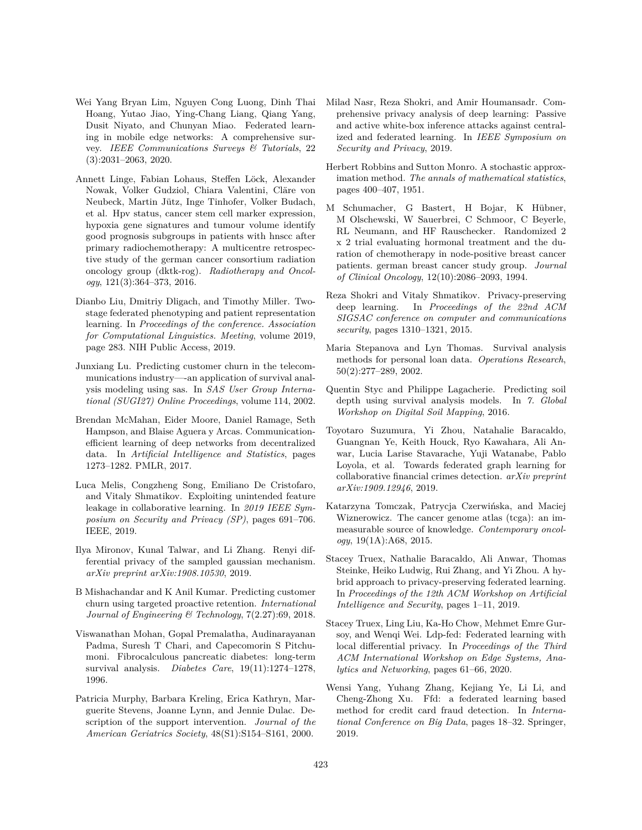- <span id="page-12-17"></span>Wei Yang Bryan Lim, Nguyen Cong Luong, Dinh Thai Hoang, Yutao Jiao, Ying-Chang Liang, Qiang Yang, Dusit Niyato, and Chunyan Miao. Federated learning in mobile edge networks: A comprehensive survey. *IEEE Communications Surveys & Tutorials*, 22 (3):2031–2063, 2020.
- <span id="page-12-15"></span>Annett Linge, Fabian Lohaus, Steffen Löck, Alexander Nowak, Volker Gudziol, Chiara Valentini, Cläre von Neubeck, Martin Jütz, Inge Tinhofer, Volker Budach, et al. Hpv status, cancer stem cell marker expression, hypoxia gene signatures and tumour volume identify good prognosis subgroups in patients with hnscc after primary radiochemotherapy: A multicentre retrospective study of the german cancer consortium radiation oncology group (dktk-rog). *Radiotherapy and Oncology*, 121(3):364–373, 2016.
- <span id="page-12-20"></span>Dianbo Liu, Dmitriy Dligach, and Timothy Miller. Twostage federated phenotyping and patient representation learning. In *Proceedings of the conference. Association for Computational Linguistics. Meeting*, volume 2019, page 283. NIH Public Access, 2019.
- <span id="page-12-2"></span>Junxiang Lu. Predicting customer churn in the telecommunications industry—-an application of survival analysis modeling using sas. In *SAS User Group International (SUGI27) Online Proceedings*, volume 114, 2002.
- <span id="page-12-4"></span>Brendan McMahan, Eider Moore, Daniel Ramage, Seth Hampson, and Blaise Aguera y Arcas. Communicationefficient learning of deep networks from decentralized data. In *Artificial Intelligence and Statistics*, pages 1273–1282. PMLR, 2017.
- <span id="page-12-6"></span>Luca Melis, Congzheng Song, Emiliano De Cristofaro, and Vitaly Shmatikov. Exploiting unintended feature leakage in collaborative learning. In *2019 IEEE Symposium on Security and Privacy (SP)*, pages 691–706. IEEE, 2019.
- <span id="page-12-11"></span>Ilya Mironov, Kunal Talwar, and Li Zhang. Renyi differential privacy of the sampled gaussian mechanism. *arXiv preprint arXiv:1908.10530*, 2019.
- <span id="page-12-1"></span>B Mishachandar and K Anil Kumar. Predicting customer churn using targeted proactive retention. *International Journal of Engineering & Technology*, 7(2.27):69, 2018.
- <span id="page-12-16"></span>Viswanathan Mohan, Gopal Premalatha, Audinarayanan Padma, Suresh T Chari, and Capecomorin S Pitchumoni. Fibrocalculous pancreatic diabetes: long-term survival analysis. *Diabetes Care*, 19(11):1274–1278, 1996.
- <span id="page-12-14"></span>Patricia Murphy, Barbara Kreling, Erica Kathryn, Marguerite Stevens, Joanne Lynn, and Jennie Dulac. Description of the support intervention. *Journal of the American Geriatrics Society*, 48(S1):S154–S161, 2000.
- <span id="page-12-5"></span>Milad Nasr, Reza Shokri, and Amir Houmansadr. Comprehensive privacy analysis of deep learning: Passive and active white-box inference attacks against centralized and federated learning. In *IEEE Symposium on Security and Privacy*, 2019.
- <span id="page-12-9"></span>Herbert Robbins and Sutton Monro. A stochastic approximation method. *The annals of mathematical statistics*, pages 400–407, 1951.
- <span id="page-12-12"></span>M Schumacher, G Bastert, H Bojar, K Hübner, M Olschewski, W Sauerbrei, C Schmoor, C Beyerle, RL Neumann, and HF Rauschecker. Randomized 2 x 2 trial evaluating hormonal treatment and the duration of chemotherapy in node-positive breast cancer patients. german breast cancer study group. *Journal of Clinical Oncology*, 12(10):2086–2093, 1994.
- <span id="page-12-8"></span>Reza Shokri and Vitaly Shmatikov. Privacy-preserving deep learning. In *Proceedings of the 22nd ACM SIGSAC conference on computer and communications security*, pages 1310–1321, 2015.
- <span id="page-12-0"></span>Maria Stepanova and Lyn Thomas. Survival analysis methods for personal loan data. *Operations Research*, 50(2):277–289, 2002.
- <span id="page-12-3"></span>Quentin Styc and Philippe Lagacherie. Predicting soil depth using survival analysis models. In *7. Global Workshop on Digital Soil Mapping*, 2016.
- <span id="page-12-18"></span>Toyotaro Suzumura, Yi Zhou, Natahalie Baracaldo, Guangnan Ye, Keith Houck, Ryo Kawahara, Ali Anwar, Lucia Larise Stavarache, Yuji Watanabe, Pablo Loyola, et al. Towards federated graph learning for collaborative financial crimes detection. *arXiv preprint arXiv:1909.12946*, 2019.
- <span id="page-12-13"></span>Katarzyna Tomczak, Patrycja Czerwińska, and Maciej Wiznerowicz. The cancer genome atlas (tcga): an immeasurable source of knowledge. *Contemporary oncology*, 19(1A):A68, 2015.
- <span id="page-12-10"></span>Stacey Truex, Nathalie Baracaldo, Ali Anwar, Thomas Steinke, Heiko Ludwig, Rui Zhang, and Yi Zhou. A hybrid approach to privacy-preserving federated learning. In *Proceedings of the 12th ACM Workshop on Artificial Intelligence and Security*, pages 1–11, 2019.
- <span id="page-12-7"></span>Stacey Truex, Ling Liu, Ka-Ho Chow, Mehmet Emre Gursoy, and Wenqi Wei. Ldp-fed: Federated learning with local differential privacy. In *Proceedings of the Third ACM International Workshop on Edge Systems, Analytics and Networking*, pages 61–66, 2020.
- <span id="page-12-19"></span>Wensi Yang, Yuhang Zhang, Kejiang Ye, Li Li, and Cheng-Zhong Xu. Ffd: a federated learning based method for credit card fraud detection. In *International Conference on Big Data*, pages 18–32. Springer, 2019.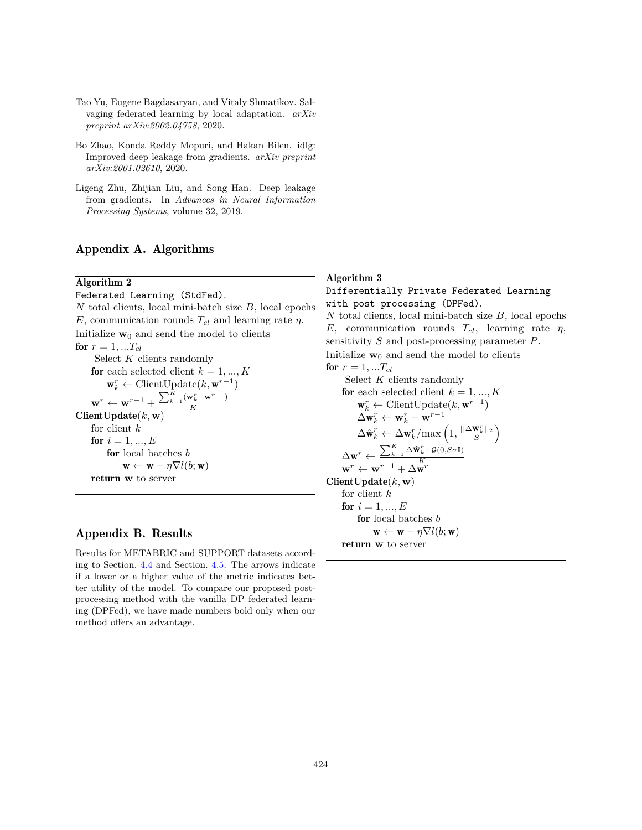- <span id="page-13-2"></span>Tao Yu, Eugene Bagdasaryan, and Vitaly Shmatikov. Salvaging federated learning by local adaptation. *arXiv preprint arXiv:2002.04758*, 2020.
- <span id="page-13-1"></span>Bo Zhao, Konda Reddy Mopuri, and Hakan Bilen. idlg: Improved deep leakage from gradients. *arXiv preprint arXiv:2001.02610*, 2020.
- <span id="page-13-0"></span>Ligeng Zhu, Zhijian Liu, and Song Han. Deep leakage from gradients. In *Advances in Neural Information Processing Systems*, volume 32, 2019.

# Appendix A. Algorithms

## Algorithm 2

<span id="page-13-3"></span>Federated Learning (StdFed). *N* total clients, local mini-batch size *B*, local epochs *E*, communication rounds  $T_{cl}$  and learning rate *η*. Initialize  $\mathbf{w}_0$  and send the model to clients for  $r = 1, ... T_{cl}$ Select *K* clients randomly for each selected client  $k = 1, ..., K$  $\mathbf{w}_k^r \leftarrow \text{ClientUpdate}(k, \mathbf{w}^{r-1})$  $\mathbf{w}^r \leftarrow \mathbf{w}^{r-1} + \frac{\sum_{k=1}^K (\mathbf{w}_k^r - \mathbf{w}^{r-1})}{K}$ *K* ClientUpdate(*k,* **w**) for client *k* for  $i = 1, ..., E$ for local batches *b*  $\mathbf{w} \leftarrow \mathbf{w} - \eta \nabla l(b; \mathbf{w})$ return **w** to server

# Appendix B. Results

Results for METABRIC and SUPPORT datasets according to Section. [4.4](#page-7-2) and Section. [4.5.](#page-8-3) The arrows indicate if a lower or a higher value of the metric indicates better utility of the model. To compare our proposed postprocessing method with the vanilla DP federated learning (DPFed), we have made numbers bold only when our method offers an advantage.

# Algorithm 3

## Differentially Private Federated Learning with post processing (DPFed).

*N* total clients, local mini-batch size *B*, local epochs *E*, communication rounds *Tcl*, learning rate *η*, sensitivity *S* and post-processing parameter *P*. Initialize  $\mathbf{w}_0$  and send the model to clients

<span id="page-13-4"></span>for  $r = 1, ... T_{cl}$ Select *K* clients randomly for each selected client  $k = 1, ..., K$  $\mathbf{w}_k^r \leftarrow \text{ClientUpdate}(k, \mathbf{w}^{r-1})$  $\Delta \mathbf{w}_k^r \leftarrow \mathbf{w}_k^r - \mathbf{w}^{r-1}$  $\Delta \hat{\mathbf{w}}_k^r \leftarrow \Delta \mathbf{w}_k^r / \text{max}\left(1, \frac{||\Delta \mathbf{w}_k^r||_2}{S}\right)$  $\frac{\|\mathbf{W}_k^r\|_2}{S}\Bigg)$  $\Delta \mathbf{w}^r \leftarrow \frac{\sum_{k=1}^{K}\Delta \hat{\mathbf{w}}_k^r + \mathcal{G}(0,S\sigma\mathbf{I})}{K}$  $\mathbf{w}^r \leftarrow \mathbf{w}^{r-1} + \Delta \mathbf{w}^r$ ClientUpdate(*k,* **w**) for client *k* for  $i = 1, ..., E$ for local batches *b*  $\mathbf{w} \leftarrow \mathbf{w} - \eta \nabla l(b; \mathbf{w})$ return **w** to server